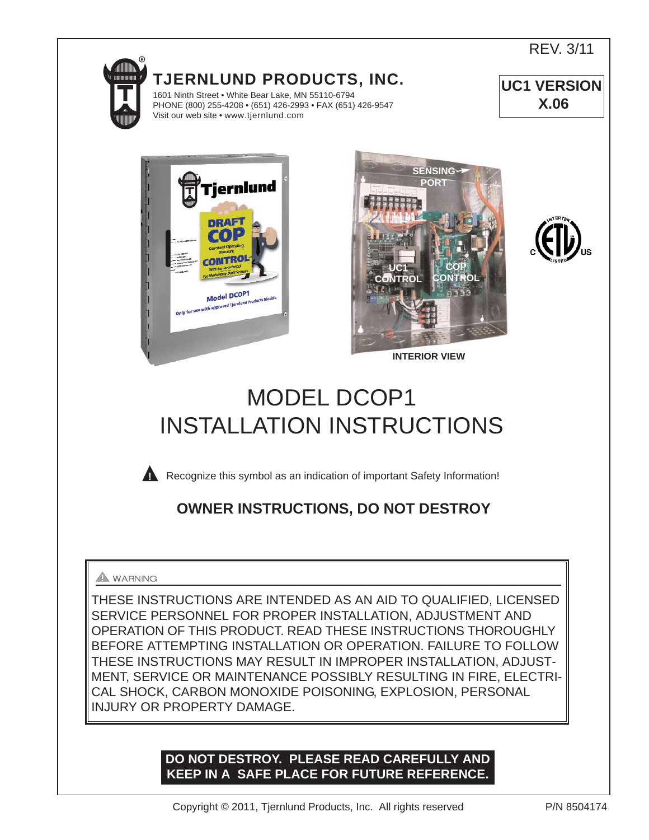



REV. 3/11







# MODEL DCOP1 INSTALLATION INSTRUCTIONS



**Recognize this symbol as an indication of important Safety Information!** 

# **OWNER INSTRUCTIONS, DO NOT DESTROY**

# **A** WARNING

THESE INSTRUCTIONS ARE INTENDED AS AN AID TO QUALIFIED, LICENSED SERVICE PERSONNEL FOR PROPER INSTALLATION, ADJUSTMENT AND OPERATION OF THIS PRODUCT. READ THESE INSTRUCTIONS THOROUGHLY BEFORE ATTEMPTING INSTALLATION OR OPERATION. FAILURE TO FOLLOW THESE INSTRUCTIONS MAY RESULT IN IMPROPER INSTALLATION, ADJUST-MENT, SERVICE OR MAINTENANCE POSSIBLY RESULTING IN FIRE, ELECTRI-CAL SHOCK, CARBON MONOXIDE POISONING, EXPLOSION, PERSONAL INJURY OR PROPERTY DAMAGE.

# **DO NOT DESTROY. PLEASE READ CAREFULLY AND KEEP IN A SAFE PLACE FOR FUTURE REFERENCE.**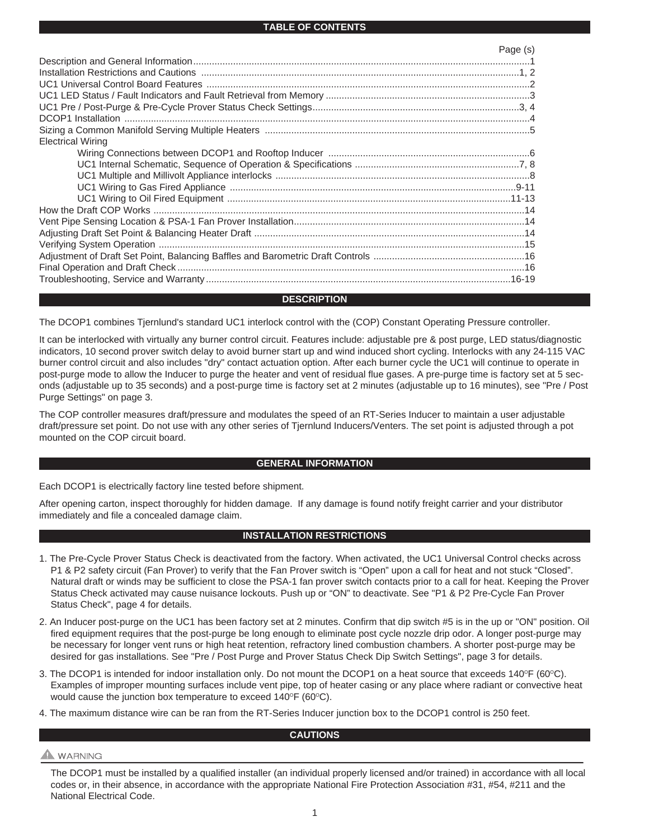#### **TABLE OF CONTENTS**

|                          | Page (s) |
|--------------------------|----------|
|                          |          |
|                          |          |
|                          |          |
|                          |          |
|                          |          |
|                          |          |
|                          |          |
| <b>Electrical Wiring</b> |          |
|                          |          |
|                          |          |
|                          |          |
|                          |          |
|                          |          |
|                          |          |
|                          |          |
|                          |          |
|                          |          |
|                          |          |
|                          |          |
|                          |          |

#### **DESCRIPTION**

The DCOP1 combines Tjernlund's standard UC1 interlock control with the (COP) Constant Operating Pressure controller.

It can be interlocked with virtually any burner control circuit. Features include: adjustable pre & post purge, LED status/diagnostic indicators, 10 second prover switch delay to avoid burner start up and wind induced short cycling. Interlocks with any 24-115 VAC burner control circuit and also includes "dry" contact actuation option. After each burner cycle the UC1 will continue to operate in post-purge mode to allow the Inducer to purge the heater and vent of residual flue gases. A pre-purge time is factory set at 5 seconds (adjustable up to 35 seconds) and a post-purge time is factory set at 2 minutes (adjustable up to 16 minutes), see "Pre / Post Purge Settings" on page 3.

The COP controller measures draft/pressure and modulates the speed of an RT-Series Inducer to maintain a user adjustable draft/pressure set point. Do not use with any other series of Tjernlund Inducers/Venters. The set point is adjusted through a pot mounted on the COP circuit board.

#### **GENERAL INFORMATION**

Each DCOP1 is electrically factory line tested before shipment.

After opening carton, inspect thoroughly for hidden damage. If any damage is found notify freight carrier and your distributor immediately and file a concealed damage claim.

#### **INSTALLATION RESTRICTIONS**

- 1. The Pre-Cycle Prover Status Check is deactivated from the factory. When activated, the UC1 Universal Control checks across P1 & P2 safety circuit (Fan Prover) to verify that the Fan Prover switch is "Open" upon a call for heat and not stuck "Closed". Natural draft or winds may be sufficient to close the PSA-1 fan prover switch contacts prior to a call for heat. Keeping the Prover Status Check activated may cause nuisance lockouts. Push up or "ON" to deactivate. See "P1 & P2 Pre-Cycle Fan Prover Status Check", page 4 for details.
- 2. An Inducer post-purge on the UC1 has been factory set at 2 minutes. Confirm that dip switch #5 is in the up or "ON" position. Oil fired equipment requires that the post-purge be long enough to eliminate post cycle nozzle drip odor. A longer post-purge may be necessary for longer vent runs or high heat retention, refractory lined combustion chambers. A shorter post-purge may be desired for gas installations. See "Pre / Post Purge and Prover Status Check Dip Switch Settings", page 3 for details.
- 3. The DCOP1 is intended for indoor installation only. Do not mount the DCOP1 on a heat source that exceeds  $140^{\circ}F (60^{\circ}C)$ . Examples of improper mounting surfaces include vent pipe, top of heater casing or any place where radiant or convective heat would cause the junction box temperature to exceed  $140^{\circ}F$  (60 $^{\circ}C$ ).
- 4. The maximum distance wire can be ran from the RT-Series Inducer junction box to the DCOP1 control is 250 feet.

#### **CAUTIONS**

# **A** WARNING

The DCOP1 must be installed by a qualified installer (an individual properly licensed and/or trained) in accordance with all local codes or, in their absence, in accordance with the appropriate National Fire Protection Association #31, #54, #211 and the National Electrical Code.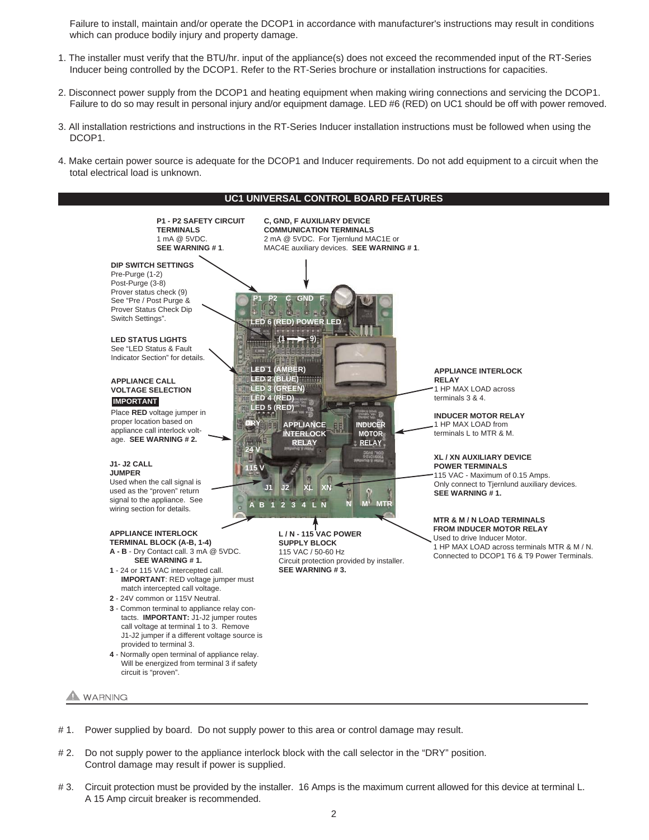Failure to install, maintain and/or operate the DCOP1 in accordance with manufacturer's instructions may result in conditions which can produce bodily injury and property damage.

- 1. The installer must verify that the BTU/hr. input of the appliance(s) does not exceed the recommended input of the RT-Series Inducer being controlled by the DCOP1. Refer to the RT-Series brochure or installation instructions for capacities.
- 2. Disconnect power supply from the DCOP1 and heating equipment when making wiring connections and servicing the DCOP1. Failure to do so may result in personal injury and/or equipment damage. LED #6 (RED) on UC1 should be off with power removed.
- 3. All installation restrictions and instructions in the RT-Series Inducer installation instructions must be followed when using the DCOP1.
- 4. Make certain power source is adequate for the DCOP1 and Inducer requirements. Do not add equipment to a circuit when the total electrical load is unknown.



- # 1. Power supplied by board. Do not supply power to this area or control damage may result.
- # 2. Do not supply power to the appliance interlock block with the call selector in the "DRY" position. Control damage may result if power is supplied.
- # 3. Circuit protection must be provided by the installer. 16 Amps is the maximum current allowed for this device at terminal L. A 15 Amp circuit breaker is recommended.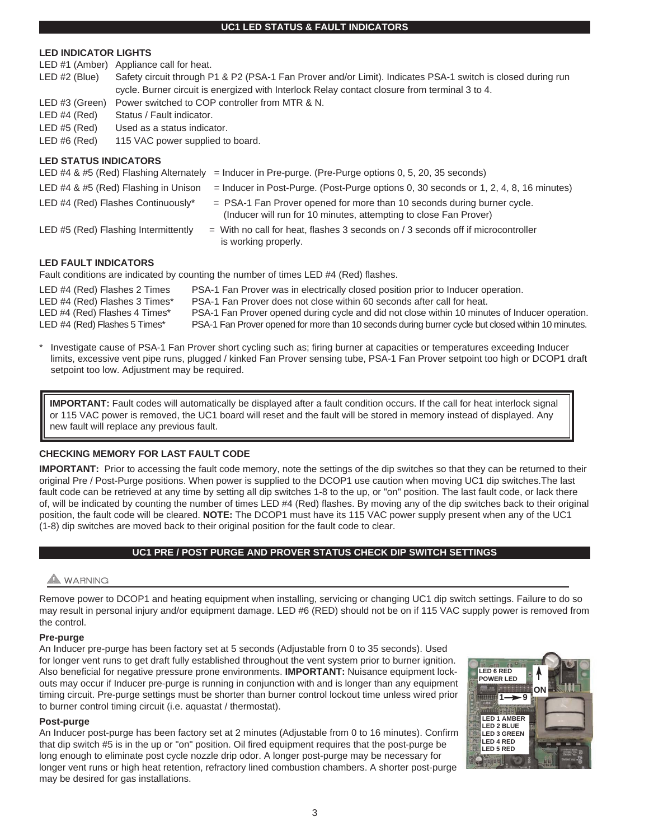#### **UC1 LED STATUS & FAULT INDICATORS**

## **LED INDICATOR LIGHTS**

| $LED#1$ (Amber)              | Appliance call for heat.                                                                                                                                                             |
|------------------------------|--------------------------------------------------------------------------------------------------------------------------------------------------------------------------------------|
| LED #2 (Blue)                | Safety circuit through P1 & P2 (PSA-1 Fan Prover and/or Limit). Indicates PSA-1 switch is closed during run                                                                          |
|                              | cycle. Burner circuit is energized with Interlock Relay contact closure from terminal 3 to 4.                                                                                        |
| LED #3 (Green)               | Power switched to COP controller from MTR & N.                                                                                                                                       |
| LED#4 (Red)                  | Status / Fault indicator.                                                                                                                                                            |
| LED#5 (Red)                  | Used as a status indicator.                                                                                                                                                          |
| $LED \#6 (Red)$              | 115 VAC power supplied to board.                                                                                                                                                     |
| <b>LED STATUS INDICATORS</b> | LED #4 & #5 (Red) Flashing Alternately<br>$=$ Inducer in Pre-purge. (Pre-Purge options 0, 5, 20, 35 seconds)                                                                         |
|                              | LED #4 $\&$ #5 (Red) Flashing in Unison<br>$=$ Inducer in Post-Purge. (Post-Purge options 0, 30 seconds or 1, 2, 4, 8, 16 minutes)                                                   |
|                              | LED #4 (Red) Flashes Continuously*<br>$=$ PSA-1 Fan Prover opened for more than 10 seconds during burner cycle.<br>(Inducer will run for 10 minutes, attempting to close Fan Prover) |
|                              | LED #5 (Red) Flashing Intermittently<br>$=$ With no call for heat, flashes 3 seconds on / 3 seconds off if microcontroller<br>is working properly.                                   |
| <b>LED FAULT INDICATORS</b>  |                                                                                                                                                                                      |
|                              | Fault conditions are indicated by counting the number of times LED #4 (Red) flashes.                                                                                                 |
| LED #4 (Red) Flashes 2 Times | PSA-1 Fan Prover was in electrically closed position prior to Inducer operation.                                                                                                     |

| $L = 0$ is a set of $\sim$ in the set of $\sim$ in the set of $\sim$ | <u>. On Fight Revolution in order roady ordered poolten prior to madder operation.</u>             |
|----------------------------------------------------------------------|----------------------------------------------------------------------------------------------------|
| LED #4 (Red) Flashes 3 Times*                                        | PSA-1 Fan Prover does not close within 60 seconds after call for heat.                             |
| LED #4 (Red) Flashes 4 Times*                                        | PSA-1 Fan Prover opened during cycle and did not close within 10 minutes of Inducer operation.     |
| LED #4 (Red) Flashes 5 Times*                                        | PSA-1 Fan Prover opened for more than 10 seconds during burner cycle but closed within 10 minutes. |
|                                                                      |                                                                                                    |

Investigate cause of PSA-1 Fan Prover short cycling such as; firing burner at capacities or temperatures exceeding Inducer limits, excessive vent pipe runs, plugged / kinked Fan Prover sensing tube, PSA-1 Fan Prover setpoint too high or DCOP1 draft setpoint too low. Adjustment may be required.

**IMPORTANT:** Fault codes will automatically be displayed after a fault condition occurs. If the call for heat interlock signal or 115 VAC power is removed, the UC1 board will reset and the fault will be stored in memory instead of displayed. Any new fault will replace any previous fault.

# **CHECKING MEMORY FOR LAST FAULT CODE**

**IMPORTANT:** Prior to accessing the fault code memory, note the settings of the dip switches so that they can be returned to their original Pre / Post-Purge positions. When power is supplied to the DCOP1 use caution when moving UC1 dip switches.The last fault code can be retrieved at any time by setting all dip switches 1-8 to the up, or "on" position. The last fault code, or lack there of, will be indicated by counting the number of times LED #4 (Red) flashes. By moving any of the dip switches back to their original position, the fault code will be cleared. **NOTE:** The DCOP1 must have its 115 VAC power supply present when any of the UC1 (1-8) dip switches are moved back to their original position for the fault code to clear.

# **UC1 PRE / POST PURGE AND PROVER STATUS CHECK DIP SWITCH SETTINGS**

# A WARNING

Remove power to DCOP1 and heating equipment when installing, servicing or changing UC1 dip switch settings. Failure to do so may result in personal injury and/or equipment damage. LED #6 (RED) should not be on if 115 VAC supply power is removed from the control.

# **Pre-purge**

An Inducer pre-purge has been factory set at 5 seconds (Adjustable from 0 to 35 seconds). Used for longer vent runs to get draft fully established throughout the vent system prior to burner ignition. Also beneficial for negative pressure prone environments. **IMPORTANT:** Nuisance equipment lockouts may occur if Inducer pre-purge is running in conjunction with and is longer than any equipment timing circuit. Pre-purge settings must be shorter than burner control lockout time unless wired prior to burner control timing circuit (i.e. aquastat / thermostat).

#### **Post-purge**

An Inducer post-purge has been factory set at 2 minutes (Adjustable from 0 to 16 minutes). Confirm that dip switch #5 is in the up or "on" position. Oil fired equipment requires that the post-purge be long enough to eliminate post cycle nozzle drip odor. A longer post-purge may be necessary for longer vent runs or high heat retention, refractory lined combustion chambers. A shorter post-purge may be desired for gas installations.

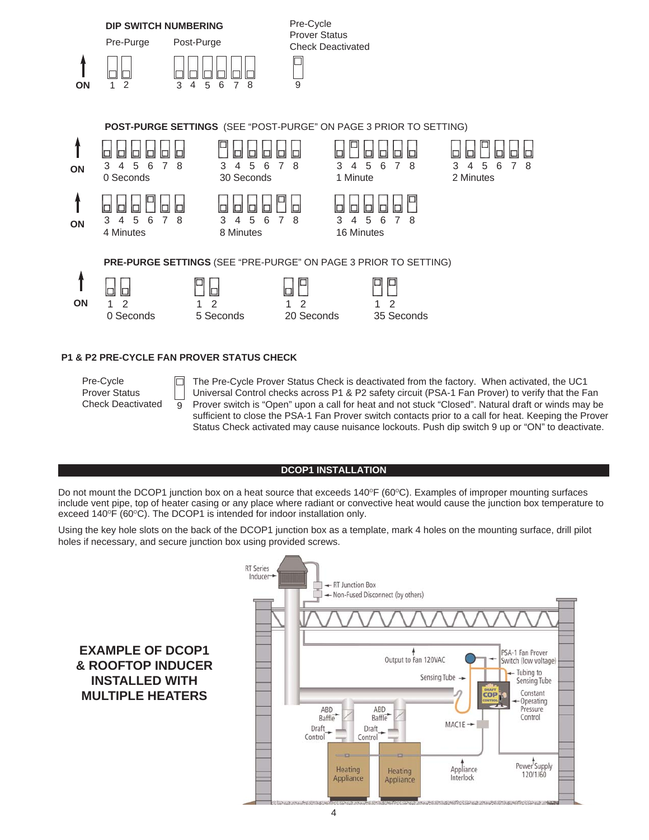

# **P1 & P2 PRE-CYCLE FAN PROVER STATUS CHECK**

9

 $\Box$ 

Pre-Cycle Prover Status Check Deactivated The Pre-Cycle Prover Status Check is deactivated from the factory. When activated, the UC1 Universal Control checks across P1 & P2 safety circuit (PSA-1 Fan Prover) to verify that the Fan Prover switch is "Open" upon a call for heat and not stuck "Closed". Natural draft or winds may be sufficient to close the PSA-1 Fan Prover switch contacts prior to a call for heat. Keeping the Prover Status Check activated may cause nuisance lockouts. Push dip switch 9 up or "ON" to deactivate.

#### **DCOP1 INSTALLATION**

Do not mount the DCOP1 junction box on a heat source that exceeds  $140^{\circ}F (60^{\circ}C)$ . Examples of improper mounting surfaces include vent pipe, top of heater casing or any place where radiant or convective heat would cause the junction box temperature to exceed 140 $\degree$ F (60 $\degree$ C). The DCOP1 is intended for indoor installation only.

Using the key hole slots on the back of the DCOP1 junction box as a template, mark 4 holes on the mounting surface, drill pilot holes if necessary, and secure junction box using provided screws.

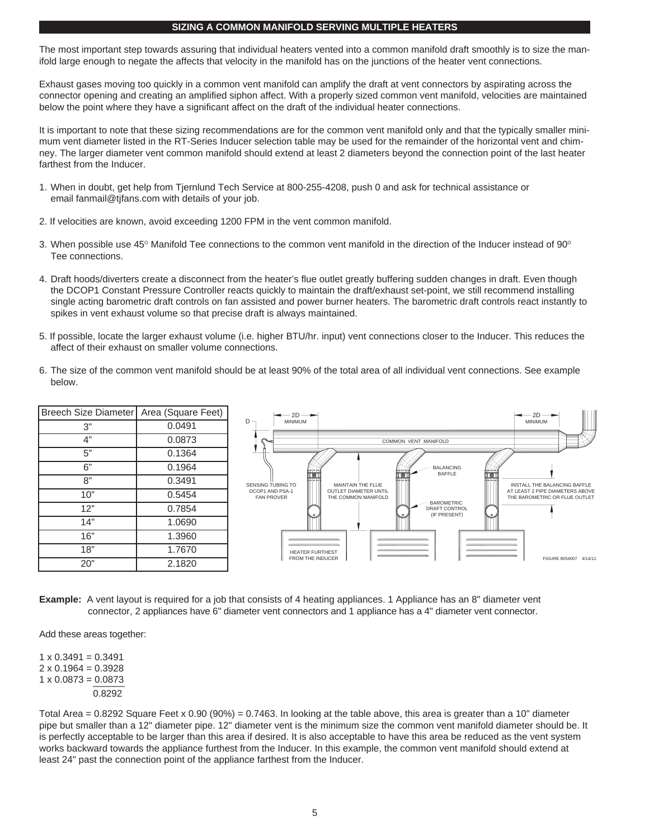#### **SIZING A COMMON MANIFOLD SERVING MULTIPLE HEATERS**

The most important step towards assuring that individual heaters vented into a common manifold draft smoothly is to size the manifold large enough to negate the affects that velocity in the manifold has on the junctions of the heater vent connections.

Exhaust gases moving too quickly in a common vent manifold can amplify the draft at vent connectors by aspirating across the connector opening and creating an amplified siphon affect. With a properly sized common vent manifold, velocities are maintained below the point where they have a significant affect on the draft of the individual heater connections.

It is important to note that these sizing recommendations are for the common vent manifold only and that the typically smaller minimum vent diameter listed in the RT-Series Inducer selection table may be used for the remainder of the horizontal vent and chimney. The larger diameter vent common manifold should extend at least 2 diameters beyond the connection point of the last heater farthest from the Inducer.

- 1. When in doubt, get help from Tjernlund Tech Service at 800-255-4208, push 0 and ask for technical assistance or email fanmail@tjfans.com with details of your job.
- 2. If velocities are known, avoid exceeding 1200 FPM in the vent common manifold.
- 3. When possible use  $45^{\circ}$  Manifold Tee connections to the common vent manifold in the direction of the Inducer instead of 90 $^{\circ}$ Tee connections.
- 4. Draft hoods/diverters create a disconnect from the heater's flue outlet greatly buffering sudden changes in draft. Even though the DCOP1 Constant Pressure Controller reacts quickly to maintain the draft/exhaust set-point, we still recommend installing single acting barometric draft controls on fan assisted and power burner heaters. The barometric draft controls react instantly to spikes in vent exhaust volume so that precise draft is always maintained.
- 5. If possible, locate the larger exhaust volume (i.e. higher BTU/hr. input) vent connections closer to the Inducer. This reduces the affect of their exhaust on smaller volume connections.
- 6. The size of the common vent manifold should be at least 90% of the total area of all individual vent connections. See example below.

| Breech Size Diameter   Area (Square Feet) |        | $-2D$                                |                                                     | $\rightarrow$ 2D $\rightarrow$                                   |
|-------------------------------------------|--------|--------------------------------------|-----------------------------------------------------|------------------------------------------------------------------|
| 3"                                        | 0.0491 | $D -$<br><b>MINIMUM</b>              |                                                     | <b>MINIMUM</b>                                                   |
| 4"                                        | 0.0873 |                                      | COMMON VENT MANIFOLD                                |                                                                  |
| 5"                                        | 0.1364 |                                      |                                                     |                                                                  |
| 6"                                        | 0.1964 |                                      | <b>BALANCING</b><br><b>BAFFLE</b>                   |                                                                  |
| 8"                                        | 0.3491 | <b>SENSING TUBING TO</b>             | MAINTAIN THE FLUE                                   | INSTALL THE BALANCING BAFFLE                                     |
| 10"                                       | 0.5454 | DCOP1 AND PSA-1<br><b>FAN PROVER</b> | <b>OUTLET DIAMETER UNTIL</b><br>THE COMMON MANIFOLD | AT LEAST 2 PIPE DIAMETERS ABOVE<br>THE BAROMETRIC OR FLUE OUTLET |
| 12"                                       | 0.7854 |                                      | - BAROMETRIC<br>DRAFT CONTROL<br>(IF PRESENT)       |                                                                  |
| 14"                                       | 1.0690 |                                      |                                                     |                                                                  |
| 16"                                       | 1.3960 |                                      |                                                     |                                                                  |
| 18"                                       | 1.7670 | <b>HEATER FURTHEST</b>               |                                                     |                                                                  |
| 20"                                       | 2.1820 | FROM THE INDUCER                     |                                                     | FIGURE 8054007 4/14/11                                           |

**Example:** A vent layout is required for a job that consists of 4 heating appliances. 1 Appliance has an 8" diameter vent connector, 2 appliances have 6" diameter vent connectors and 1 appliance has a 4" diameter vent connector.

Add these areas together:

 $1 \times 0.3491 = 0.3491$  $2 \times 0.1964 = 0.3928$  $1 \times 0.0873 = 0.0873$ 0.8292

Total Area = 0.8292 Square Feet x 0.90 (90%) = 0.7463. In looking at the table above, this area is greater than a 10" diameter pipe but smaller than a 12" diameter pipe. 12" diameter vent is the minimum size the common vent manifold diameter should be. It is perfectly acceptable to be larger than this area if desired. It is also acceptable to have this area be reduced as the vent system works backward towards the appliance furthest from the Inducer. In this example, the common vent manifold should extend at least 24" past the connection point of the appliance farthest from the Inducer.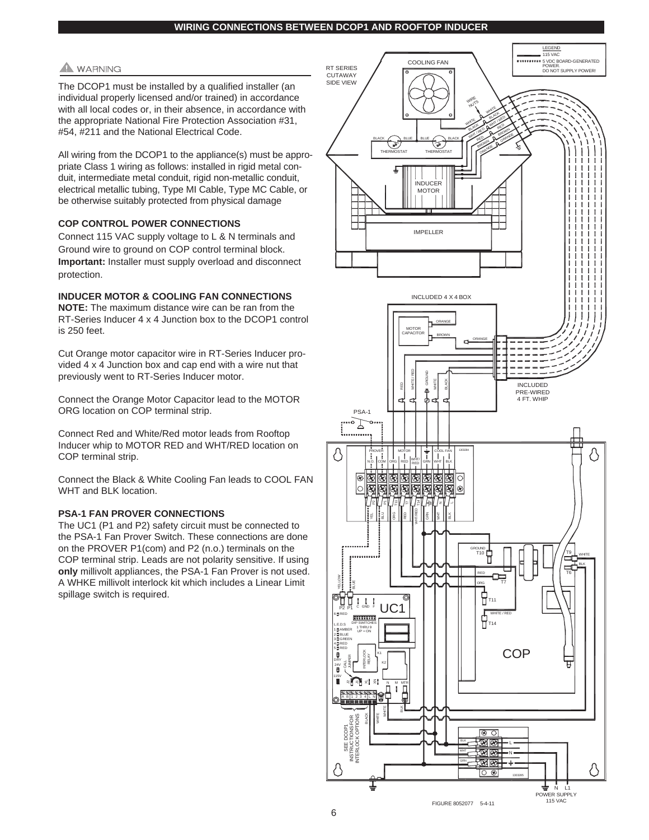# **WARNING**

The DCOP1 must be installed by a qualified installer (an individual properly licensed and/or trained) in accordance with all local codes or, in their absence, in accordance with the appropriate National Fire Protection Association #31, #54, #211 and the National Electrical Code.

All wiring from the DCOP1 to the appliance(s) must be appropriate Class 1 wiring as follows: installed in rigid metal conduit, intermediate metal conduit, rigid non-metallic conduit, electrical metallic tubing, Type MI Cable, Type MC Cable, or be otherwise suitably protected from physical damage

## **COP CONTROL POWER CONNECTIONS**

Connect 115 VAC supply voltage to L & N terminals and Ground wire to ground on COP control terminal block. **Important:** Installer must supply overload and disconnect protection.

# **INDUCER MOTOR & COOLING FAN CONNECTIONS**

**NOTE:** The maximum distance wire can be ran from the RT-Series Inducer 4 x 4 Junction box to the DCOP1 control is 250 feet.

Cut Orange motor capacitor wire in RT-Series Inducer provided 4 x 4 Junction box and cap end with a wire nut that previously went to RT-Series Inducer motor.

Connect the Orange Motor Capacitor lead to the MOTOR ORG location on COP terminal strip.

Connect Red and White/Red motor leads from Rooftop Inducer whip to MOTOR RED and WHT/RED location on COP terminal strip.

Connect the Black & White Cooling Fan leads to COOL FAN WHT and BLK location.

#### **PSA-1 FAN PROVER CONNECTIONS**

The UC1 (P1 and P2) safety circuit must be connected to the PSA-1 Fan Prover Switch. These connections are done on the PROVER P1(com) and P2 (n.o.) terminals on the COP terminal strip. Leads are not polarity sensitive. If using **only** millivolt appliances, the PSA-1 Fan Prover is not used. A WHKE millivolt interlock kit which includes a Linear Limit spillage switch is required.

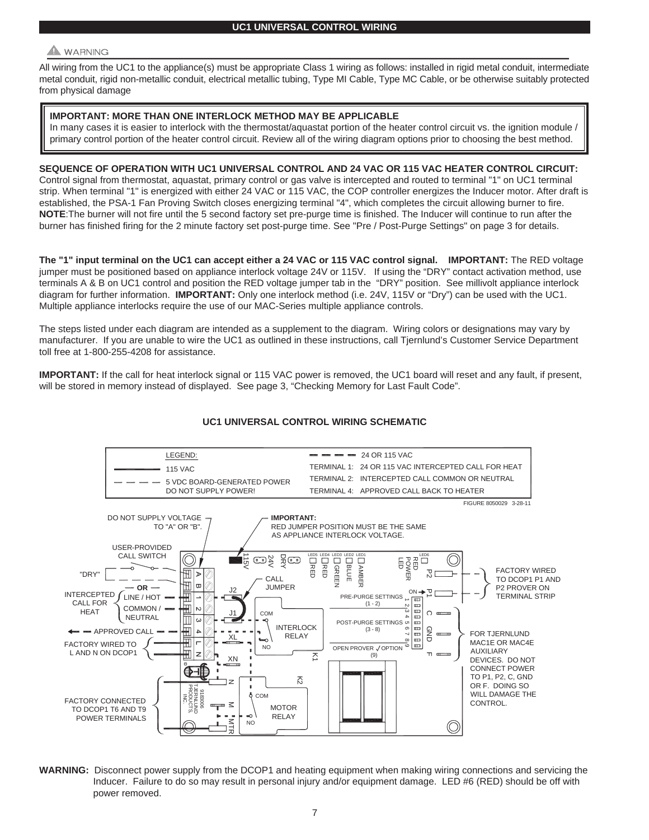# **WARNING**

All wiring from the UC1 to the appliance(s) must be appropriate Class 1 wiring as follows: installed in rigid metal conduit, intermediate metal conduit, rigid non-metallic conduit, electrical metallic tubing, Type MI Cable, Type MC Cable, or be otherwise suitably protected from physical damage

## **IMPORTANT: MORE THAN ONE INTERLOCK METHOD MAY BE APPLICABLE**

In many cases it is easier to interlock with the thermostat/aquastat portion of the heater control circuit vs. the ignition module / primary control portion of the heater control circuit. Review all of the wiring diagram options prior to choosing the best method.

# **SEQUENCE OF OPERATION WITH UC1 UNIVERSAL CONTROL AND 24 VAC OR 115 VAC HEATER CONTROL CIRCUIT:**

Control signal from thermostat, aquastat, primary control or gas valve is intercepted and routed to terminal "1" on UC1 terminal strip. When terminal "1" is energized with either 24 VAC or 115 VAC, the COP controller energizes the Inducer motor. After draft is established, the PSA-1 Fan Proving Switch closes energizing terminal "4", which completes the circuit allowing burner to fire. **NOTE**:The burner will not fire until the 5 second factory set pre-purge time is finished. The Inducer will continue to run after the burner has finished firing for the 2 minute factory set post-purge time. See "Pre / Post-Purge Settings" on page 3 for details.

**The "1" input terminal on the UC1 can accept either a 24 VAC or 115 VAC control signal. IMPORTANT:** The RED voltage jumper must be positioned based on appliance interlock voltage 24V or 115V. If using the "DRY" contact activation method, use terminals A & B on UC1 control and position the RED voltage jumper tab in the "DRY" position. See millivolt appliance interlock diagram for further information. **IMPORTANT:** Only one interlock method (i.e. 24V, 115V or "Dry") can be used with the UC1. Multiple appliance interlocks require the use of our MAC-Series multiple appliance controls.

The steps listed under each diagram are intended as a supplement to the diagram. Wiring colors or designations may vary by manufacturer. If you are unable to wire the UC1 as outlined in these instructions, call Tjernlund's Customer Service Department toll free at 1-800-255-4208 for assistance.

**IMPORTANT:** If the call for heat interlock signal or 115 VAC power is removed, the UC1 board will reset and any fault, if present, will be stored in memory instead of displayed. See page 3, "Checking Memory for Last Fault Code".



# **UC1 UNIVERSAL CONTROL WIRING SCHEMATIC**

**WARNING:** Disconnect power supply from the DCOP1 and heating equipment when making wiring connections and servicing the Inducer. Failure to do so may result in personal injury and/or equipment damage. LED #6 (RED) should be off with power removed.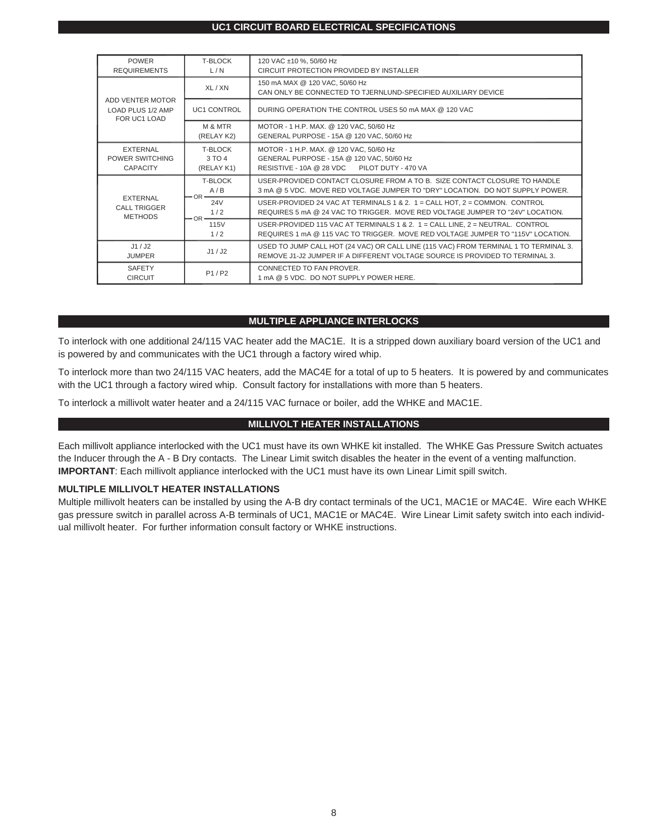#### **UC1 CIRCUIT BOARD ELECTRICAL SPECIFICATIONS**

| <b>POWER</b><br><b>REQUIREMENTS</b>                      | <b>T-BLOCK</b><br>L/N                  | 120 VAC ±10 %, 50/60 Hz<br>CIRCUIT PROTECTION PROVIDED BY INSTALLER                                                                                                  |  |  |
|----------------------------------------------------------|----------------------------------------|----------------------------------------------------------------------------------------------------------------------------------------------------------------------|--|--|
| ADD VENTER MOTOR<br>LOAD PLUS 1/2 AMP<br>FOR UC1 LOAD    | XL/XN                                  | 150 mA MAX @ 120 VAC, 50/60 Hz<br>CAN ONLY BE CONNECTED TO TJERNLUND-SPECIFIED AUXILIARY DEVICE                                                                      |  |  |
|                                                          | <b>UC1 CONTROL</b>                     | DURING OPERATION THE CONTROL USES 50 mA MAX @ 120 VAC                                                                                                                |  |  |
|                                                          | M & MTR<br>(RELAY K2)                  | MOTOR - 1 H.P. MAX. @ 120 VAC, 50/60 Hz<br>GENERAL PURPOSE - 15A @ 120 VAC, 50/60 Hz                                                                                 |  |  |
| <b>EXTERNAL</b><br>POWER SWITCHING<br><b>CAPACITY</b>    | <b>T-BLOCK</b><br>3 TO 4<br>(RELAY K1) | MOTOR - 1 H.P. MAX. @ 120 VAC, 50/60 Hz<br>GENERAL PURPOSE - 15A @ 120 VAC, 50/60 Hz<br>RESISTIVE - 10A @ 28 VDC PILOT DUTY - 470 VA                                 |  |  |
| <b>EXTERNAL</b><br><b>CALL TRIGGER</b><br><b>METHODS</b> | <b>T-BLOCK</b><br>A/B<br>$-OR-$        | USER-PROVIDED CONTACT CLOSURE FROM A TO B. SIZE CONTACT CLOSURE TO HANDLE<br>3 mA @ 5 VDC. MOVE RED VOLTAGE JUMPER TO "DRY" LOCATION. DO NOT SUPPLY POWER.           |  |  |
|                                                          | 24 <sub>V</sub><br>1/2<br>$-OR -$      | USER-PROVIDED 24 VAC AT TERMINALS 1 & 2. $1 =$ CALL HOT, $2 =$ COMMON. CONTROL<br>REQUIRES 5 mA @ 24 VAC TO TRIGGER. MOVE RED VOLTAGE JUMPER TO "24V" LOCATION.      |  |  |
|                                                          | 115V<br>1/2                            | USER-PROVIDED 115 VAC AT TERMINALS 1 & 2. 1 = CALL LINE, 2 = NEUTRAL. CONTROL<br>REQUIRES 1 mA @ 115 VAC TO TRIGGER. MOVE RED VOLTAGE JUMPER TO "115V" LOCATION.     |  |  |
| J1/J2<br><b>JUMPER</b>                                   | J1/J2                                  | USED TO JUMP CALL HOT (24 VAC) OR CALL LINE (115 VAC) FROM TERMINAL 1 TO TERMINAL 3.<br>REMOVE J1-J2 JUMPER IF A DIFFERENT VOLTAGE SOURCE IS PROVIDED TO TERMINAL 3. |  |  |
| <b>SAFETY</b><br><b>CIRCUIT</b>                          | P1/P2                                  | CONNECTED TO FAN PROVER.<br>1 mA @ 5 VDC. DO NOT SUPPLY POWER HERE.                                                                                                  |  |  |

## **MULTIPLE APPLIANCE INTERLOCKS**

To interlock with one additional 24/115 VAC heater add the MAC1E. It is a stripped down auxiliary board version of the UC1 and is powered by and communicates with the UC1 through a factory wired whip.

To interlock more than two 24/115 VAC heaters, add the MAC4E for a total of up to 5 heaters. It is powered by and communicates with the UC1 through a factory wired whip. Consult factory for installations with more than 5 heaters.

To interlock a millivolt water heater and a 24/115 VAC furnace or boiler, add the WHKE and MAC1E.

# **MILLIVOLT HEATER INSTALLATIONS**

Each millivolt appliance interlocked with the UC1 must have its own WHKE kit installed. The WHKE Gas Pressure Switch actuates the Inducer through the A - B Dry contacts. The Linear Limit switch disables the heater in the event of a venting malfunction. **IMPORTANT**: Each millivolt appliance interlocked with the UC1 must have its own Linear Limit spill switch.

#### **MULTIPLE MILLIVOLT HEATER INSTALLATIONS**

Multiple millivolt heaters can be installed by using the A-B dry contact terminals of the UC1, MAC1E or MAC4E. Wire each WHKE gas pressure switch in parallel across A-B terminals of UC1, MAC1E or MAC4E. Wire Linear Limit safety switch into each individual millivolt heater. For further information consult factory or WHKE instructions.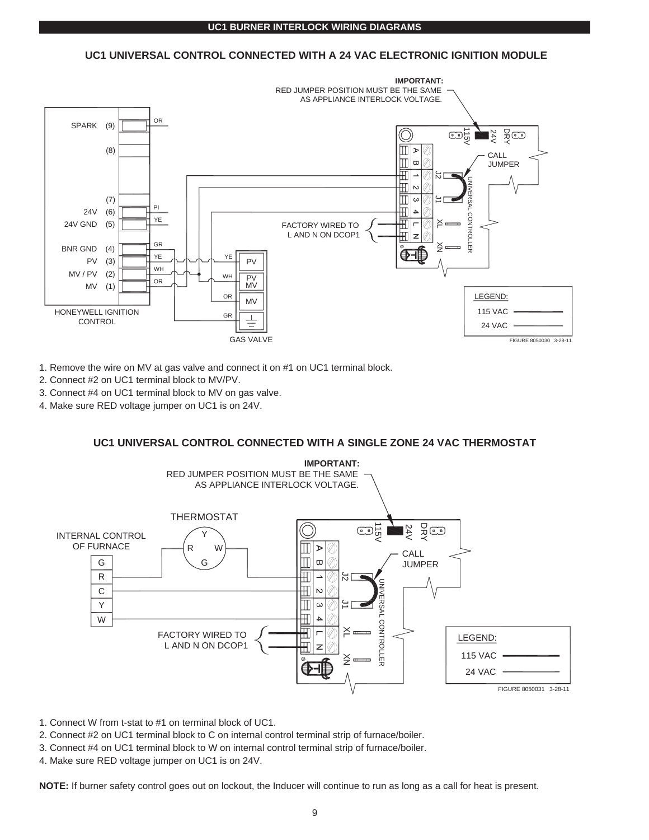#### **UC1 BURNER INTERLOCK WIRING DIAGRAMS**

# **UC1 UNIVERSAL CONTROL CONNECTED WITH A 24 VAC ELECTRONIC IGNITION MODULE**



- 1. Remove the wire on MV at gas valve and connect it on #1 on UC1 terminal block.
- 2. Connect #2 on UC1 terminal block to MV/PV.
- 3. Connect #4 on UC1 terminal block to MV on gas valve.
- 4. Make sure RED voltage jumper on UC1 is on 24V.

# **UC1 UNIVERSAL CONTROL CONNECTED WITH A SINGLE ZONE 24 VAC THERMOSTAT**

![](_page_9_Figure_8.jpeg)

1. Connect W from t-stat to #1 on terminal block of UC1.

- 2. Connect #2 on UC1 terminal block to C on internal control terminal strip of furnace/boiler.
- 3. Connect #4 on UC1 terminal block to W on internal control terminal strip of furnace/boiler.
- 4. Make sure RED voltage jumper on UC1 is on 24V.

**NOTE:** If burner safety control goes out on lockout, the Inducer will continue to run as long as a call for heat is present.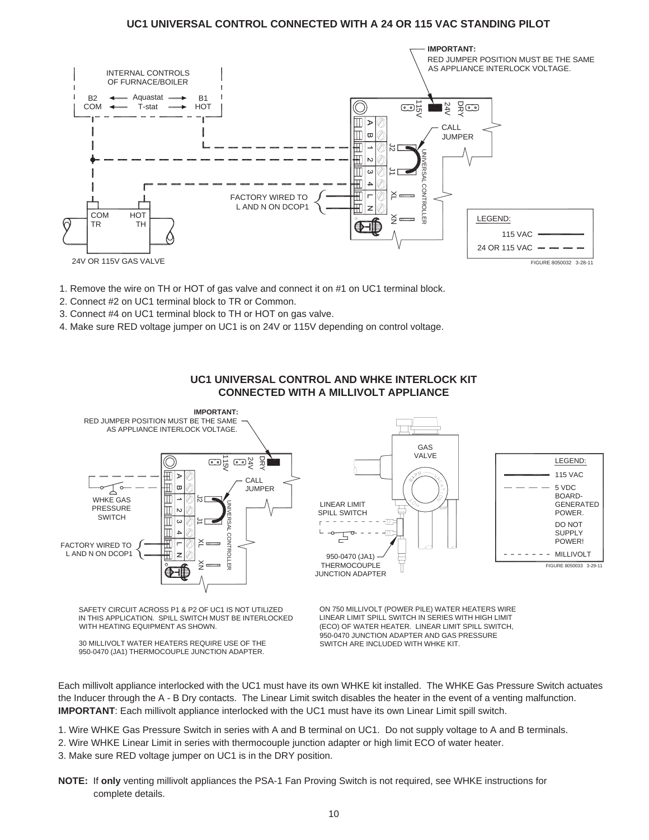# **UC1 UNIVERSAL CONTROL CONNECTED WITH A 24 OR 115 VAC STANDING PILOT**

![](_page_10_Figure_1.jpeg)

- 1. Remove the wire on TH or HOT of gas valve and connect it on #1 on UC1 terminal block.
- 2. Connect #2 on UC1 terminal block to TR or Common.
- 3. Connect #4 on UC1 terminal block to TH or HOT on gas valve.
- 4. Make sure RED voltage jumper on UC1 is on 24V or 115V depending on control voltage.

![](_page_10_Figure_6.jpeg)

# **UC1 UNIVERSAL CONTROL AND WHKE INTERLOCK KIT CONNECTED WITH A MILLIVOLT APPLIANCE**

IN THIS APPLICATION. SPILL SWITCH MUST BE INTERLOCKED WITH HEATING EQUIPMENT AS SHOWN. SAFETY CIRCUIT ACROSS P1 & P2 OF UC1 IS NOT UTILIZED

950-0470 (JA1) THERMOCOUPLE JUNCTION ADAPTER. 30 MILLIVOLT WATER HEATERS REQUIRE USE OF THE SWITCH ARE INCLUDED WITH WHKE KIT. 950-0470 JUNCTION ADAPTER AND GAS PRESSURE LINEAR LIMIT SPILL SWITCH IN SERIES WITH HIGH LIMIT ON 750 MILLIVOLT (POWER PILE) WATER HEATERS WIRE (ECO) OF WATER HEATER. LINEAR LIMIT SPILL SWITCH,

Each millivolt appliance interlocked with the UC1 must have its own WHKE kit installed. The WHKE Gas Pressure Switch actuates the Inducer through the A - B Dry contacts. The Linear Limit switch disables the heater in the event of a venting malfunction. **IMPORTANT**: Each millivolt appliance interlocked with the UC1 must have its own Linear Limit spill switch.

1. Wire WHKE Gas Pressure Switch in series with A and B terminal on UC1. Do not supply voltage to A and B terminals.

- 2. Wire WHKE Linear Limit in series with thermocouple junction adapter or high limit ECO of water heater.
- 3. Make sure RED voltage jumper on UC1 is in the DRY position.
- **NOTE:** If **only** venting millivolt appliances the PSA-1 Fan Proving Switch is not required, see WHKE instructions for complete details.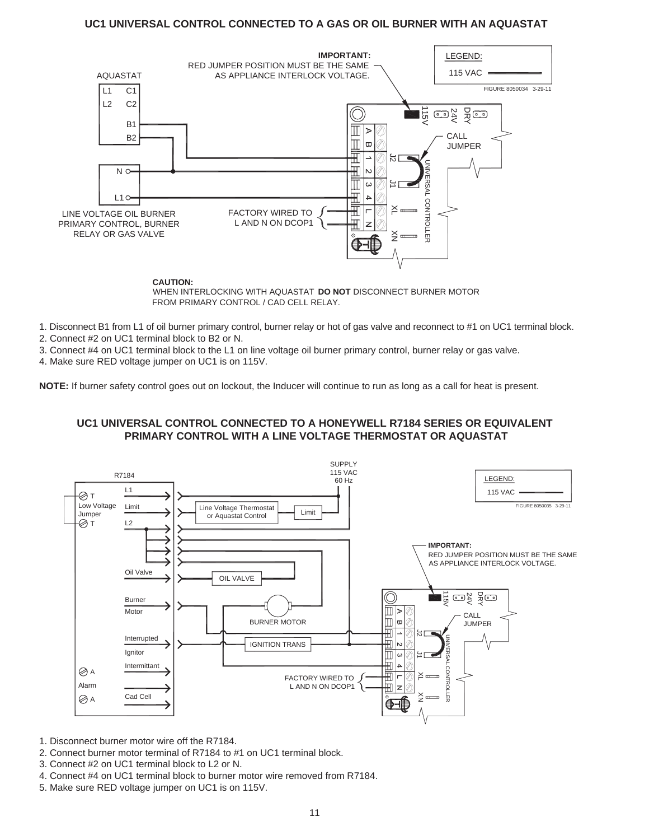# **UC1 UNIVERSAL CONTROL CONNECTED TO A GAS OR OIL BURNER WITH AN AQUASTAT**

![](_page_11_Figure_1.jpeg)

**CAUTION:**

FROM PRIMARY CONTROL / CAD CELL RELAY. WHEN INTERLOCKING WITH AQUASTAT **DO NOT** DISCONNECT BURNER MOTOR

1. Disconnect B1 from L1 of oil burner primary control, burner relay or hot of gas valve and reconnect to #1 on UC1 terminal block.

2. Connect #2 on UC1 terminal block to B2 or N.

3. Connect #4 on UC1 terminal block to the L1 on line voltage oil burner primary control, burner relay or gas valve.

4. Make sure RED voltage jumper on UC1 is on 115V.

**NOTE:** If burner safety control goes out on lockout, the Inducer will continue to run as long as a call for heat is present.

# **UC1 UNIVERSAL CONTROL CONNECTED TO A HONEYWELL R7184 SERIES OR EQUIVALENT PRIMARY CONTROL WITH A LINE VOLTAGE THERMOSTAT OR AQUASTAT**

![](_page_11_Figure_10.jpeg)

1. Disconnect burner motor wire off the R7184.

- 2. Connect burner motor terminal of R7184 to #1 on UC1 terminal block.
- 3. Connect #2 on UC1 terminal block to L2 or N.
- 4. Connect #4 on UC1 terminal block to burner motor wire removed from R7184.
- 5. Make sure RED voltage jumper on UC1 is on 115V.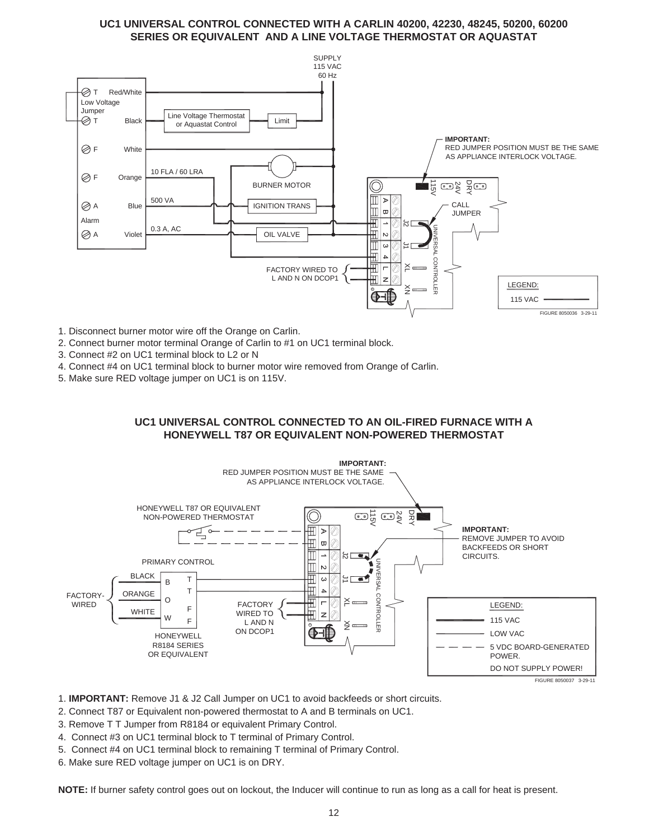# **UC1 UNIVERSAL CONTROL CONNECTED WITH A CARLIN 40200, 42230, 48245, 50200, 60200 SERIES OR EQUIVALENT AND A LINE VOLTAGE THERMOSTAT OR AQUASTAT**

![](_page_12_Figure_1.jpeg)

- 1. Disconnect burner motor wire off the Orange on Carlin.
- 2. Connect burner motor terminal Orange of Carlin to #1 on UC1 terminal block.
- 3. Connect #2 on UC1 terminal block to L2 or N
- 4. Connect #4 on UC1 terminal block to burner motor wire removed from Orange of Carlin.
- 5. Make sure RED voltage jumper on UC1 is on 115V.

# **UC1 UNIVERSAL CONTROL CONNECTED TO AN OIL-FIRED FURNACE WITH A HONEYWELL T87 OR EQUIVALENT NON-POWERED THERMOSTAT**

![](_page_12_Figure_8.jpeg)

1. **IMPORTANT:** Remove J1 & J2 Call Jumper on UC1 to avoid backfeeds or short circuits.

- 2. Connect T87 or Equivalent non-powered thermostat to A and B terminals on UC1.
- 3. Remove T T Jumper from R8184 or equivalent Primary Control.
- 4. Connect #3 on UC1 terminal block to T terminal of Primary Control.
- 5. Connect #4 on UC1 terminal block to remaining T terminal of Primary Control.
- 6. Make sure RED voltage jumper on UC1 is on DRY.

**NOTE:** If burner safety control goes out on lockout, the Inducer will continue to run as long as a call for heat is present.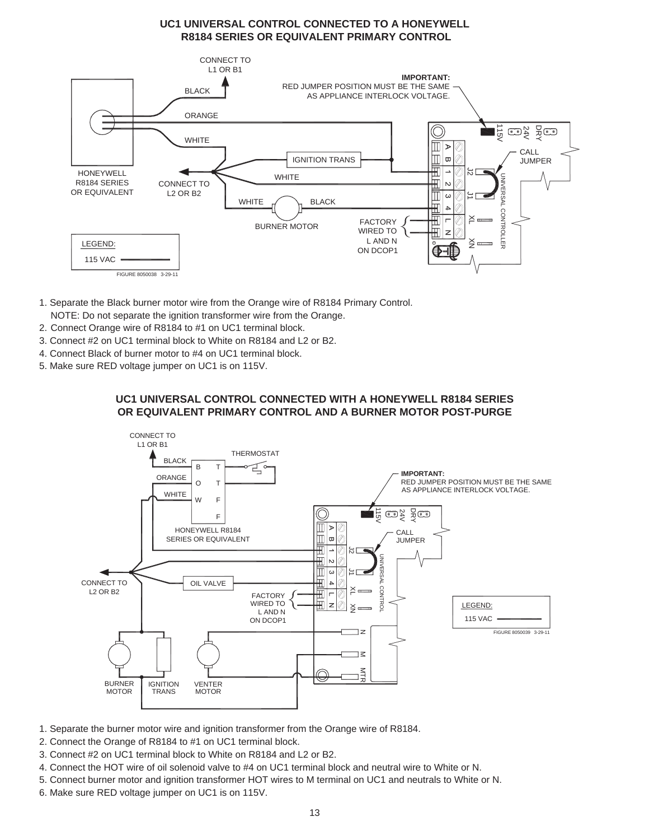# **UC1 UNIVERSAL CONTROL CONNECTED TO A HONEYWELL R8184 SERIES OR EQUIVALENT PRIMARY CONTROL**

![](_page_13_Figure_1.jpeg)

- 1. Separate the Black burner motor wire from the Orange wire of R8184 Primary Control.
- NOTE: Do not separate the ignition transformer wire from the Orange.
- 2. Connect Orange wire of R8184 to #1 on UC1 terminal block.
- 3. Connect #2 on UC1 terminal block to White on R8184 and L2 or B2.
- 4. Connect Black of burner motor to #4 on UC1 terminal block.
- 5. Make sure RED voltage jumper on UC1 is on 115V.

# **UC1 UNIVERSAL CONTROL CONNECTED WITH A HONEYWELL R8184 SERIES OR EQUIVALENT PRIMARY CONTROL AND A BURNER MOTOR POST-PURGE**

![](_page_13_Figure_9.jpeg)

- 1. Separate the burner motor wire and ignition transformer from the Orange wire of R8184.
- 2. Connect the Orange of R8184 to #1 on UC1 terminal block.
- 3. Connect #2 on UC1 terminal block to White on R8184 and L2 or B2.
- 4. Connect the HOT wire of oil solenoid valve to #4 on UC1 terminal block and neutral wire to White or N.
- 5. Connect burner motor and ignition transformer HOT wires to M terminal on UC1 and neutrals to White or N.
- 6. Make sure RED voltage jumper on UC1 is on 115V.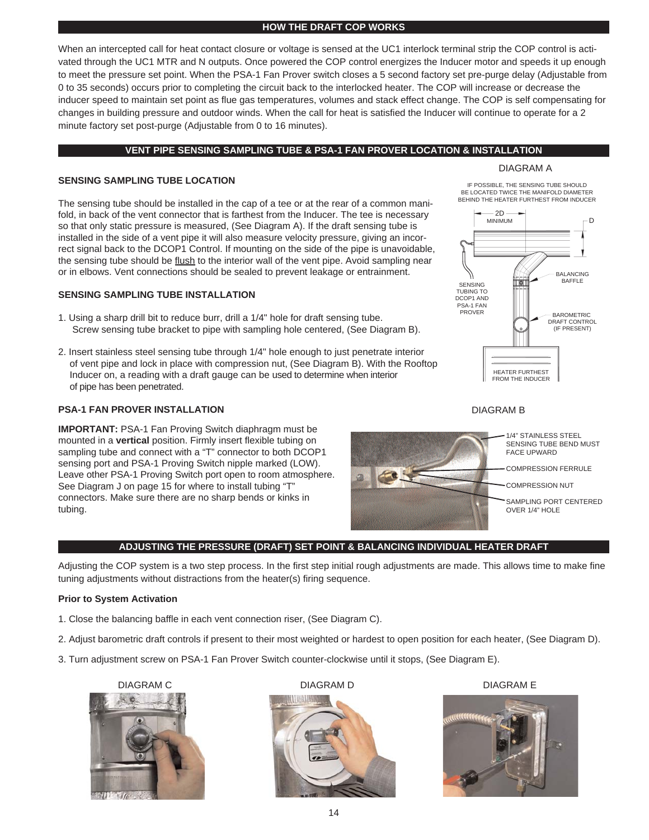#### **HOW THE DRAFT COP WORKS**

When an intercepted call for heat contact closure or voltage is sensed at the UC1 interlock terminal strip the COP control is activated through the UC1 MTR and N outputs. Once powered the COP control energizes the Inducer motor and speeds it up enough to meet the pressure set point. When the PSA-1 Fan Prover switch closes a 5 second factory set pre-purge delay (Adjustable from 0 to 35 seconds) occurs prior to completing the circuit back to the interlocked heater. The COP will increase or decrease the inducer speed to maintain set point as flue gas temperatures, volumes and stack effect change. The COP is self compensating for changes in building pressure and outdoor winds. When the call for heat is satisfied the Inducer will continue to operate for a 2 minute factory set post-purge (Adjustable from 0 to 16 minutes).

#### **VENT PIPE SENSING SAMPLING TUBE & PSA-1 FAN PROVER LOCATION & INSTALLATION**

#### DIAGRAM A

BE LOCATED TWICE THE MANIFOLD DIAMETER<br>BEHIND THE HEATER FURTHEST FROM INDUCER IF POSSIBLE, THE SENSING TUBE SHOULD

> 2D MINIMUM

.n

BALANCING

BAFFLE

BAROMETRIC DRAFT CONTROL (IF PRESENT)

#### **SENSING SAMPLING TUBE LOCATION**

The sensing tube should be installed in the cap of a tee or at the rear of a common manifold, in back of the vent connector that is farthest from the Inducer. The tee is necessary so that only static pressure is measured, (See Diagram A). If the draft sensing tube is installed in the side of a vent pipe it will also measure velocity pressure, giving an incorrect signal back to the DCOP1 Control. If mounting on the side of the pipe is unavoidable, the sensing tube should be flush to the interior wall of the vent pipe. Avoid sampling near or in elbows. Vent connections should be sealed to prevent leakage or entrainment.

#### **SENSING SAMPLING TUBE INSTALLATION**

- 1. Using a sharp drill bit to reduce burr, drill a 1/4" hole for draft sensing tube. Screw sensing tube bracket to pipe with sampling hole centered, (See Diagram B).
- 2. Insert stainless steel sensing tube through 1/4" hole enough to just penetrate interior of vent pipe and lock in place with compression nut, (See Diagram B). With the Rooftop Inducer on, a reading with a draft gauge can be used to determine when interior of pipe has been penetrated.

# **PSA-1 FAN PROVER INSTALLATION**

**IMPORTANT:** PSA-1 Fan Proving Switch diaphragm must be mounted in a **vertical** position. Firmly insert flexible tubing on sampling tube and connect with a "T" connector to both DCOP1 sensing port and PSA-1 Proving Switch nipple marked (LOW). Leave other PSA-1 Proving Switch port open to room atmosphere. See Diagram J on page 15 for where to install tubing "T" connectors. Make sure there are no sharp bends or kinks in tubing.

![](_page_14_Figure_11.jpeg)

HEATER FURTHEST FROM THE INDUCER

![](_page_14_Picture_12.jpeg)

PSA-1 FAN DCOP1 AND SENSING TUBING TO

PROVER

# **ADJUSTING THE PRESSURE (DRAFT) SET POINT & BALANCING INDIVIDUAL HEATER DRAFT**

Adjusting the COP system is a two step process. In the first step initial rough adjustments are made. This allows time to make fine tuning adjustments without distractions from the heater(s) firing sequence.

#### **Prior to System Activation**

- 1. Close the balancing baffle in each vent connection riser, (See Diagram C).
- 2. Adjust barometric draft controls if present to their most weighted or hardest to open position for each heater, (See Diagram D).
- 3. Turn adjustment screw on PSA-1 Fan Prover Switch counter-clockwise until it stops, (See Diagram E).

![](_page_14_Picture_19.jpeg)

![](_page_14_Picture_20.jpeg)

![](_page_14_Picture_21.jpeg)

![](_page_14_Picture_23.jpeg)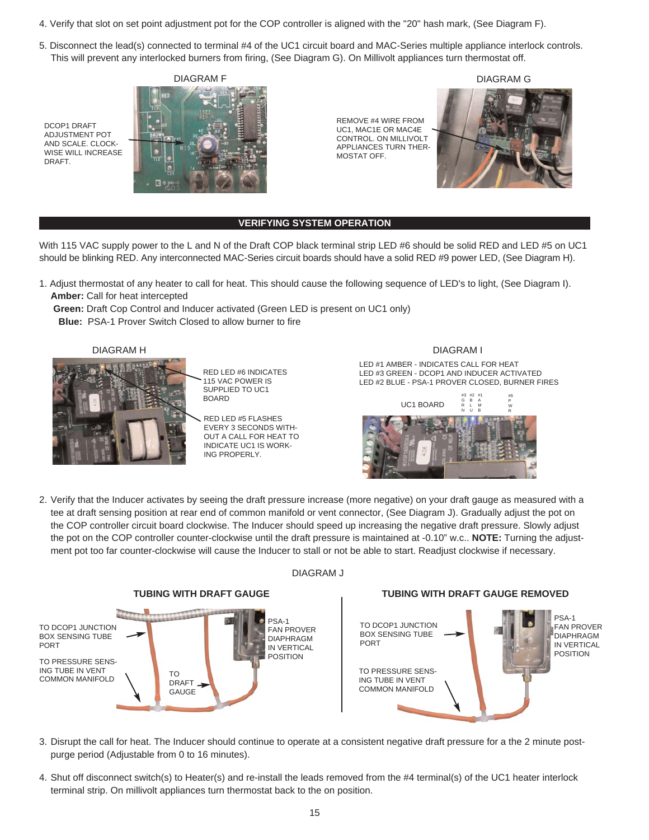- 4. Verify that slot on set point adjustment pot for the COP controller is aligned with the "20" hash mark, (See Diagram F).
- 5. Disconnect the lead(s) connected to terminal #4 of the UC1 circuit board and MAC-Series multiple appliance interlock controls. This will prevent any interlocked burners from firing, (See Diagram G). On Millivolt appliances turn thermostat off.

DCOP1 DRAFT ADJUSTMENT POT AND SCALE. CLOCK-WISE WILL INCREASE DRAFT.

![](_page_15_Picture_3.jpeg)

REMOVE #4 WIRE FROM UC1, MAC1E OR MAC4E CONTROL. ON MILLIVOLT APPLIANCES TURN THER-MOSTAT OFF.

![](_page_15_Picture_5.jpeg)

## **VERIFYING SYSTEM OPERATION**

With 115 VAC supply power to the L and N of the Draft COP black terminal strip LED #6 should be solid RED and LED #5 on UC1 should be blinking RED. Any interconnected MAC-Series circuit boards should have a solid RED #9 power LED, (See Diagram H).

1. Adjust thermostat of any heater to call for heat. This should cause the following sequence of LED's to light, (See Diagram I). **Amber:** Call for heat intercepted

**Green:** Draft Cop Control and Inducer activated (Green LED is present on UC1 only)

**Blue:** PSA-1 Prover Switch Closed to allow burner to fire

![](_page_15_Picture_12.jpeg)

RED LED #6 INDICATES 115 VAC POWER IS SUPPLIED TO UC1 BOARD

RED LED #5 FLASHES EVERY 3 SECONDS WITH-OUT A CALL FOR HEAT TO INDICATE UC1 IS WORK-ING PROPERLY.

#### DIAGRAM H DIAGRAM I

LED #1 AMBER - INDICATES CALL FOR HEAT LED #3 GREEN - DCOP1 AND INDUCER ACTIVATED LED #2 BLUE - PSA-1 PROVER CLOSED, BURNER FIRES

![](_page_15_Picture_17.jpeg)

2. Verify that the Inducer activates by seeing the draft pressure increase (more negative) on your draft gauge as measured with a tee at draft sensing position at rear end of common manifold or vent connector, (See Diagram J). Gradually adjust the pot on the COP controller circuit board clockwise. The Inducer should speed up increasing the negative draft pressure. Slowly adjust the pot on the COP controller counter-clockwise until the draft pressure is maintained at -0.10" w.c.. **NOTE:** Turning the adjustment pot too far counter-clockwise will cause the Inducer to stall or not be able to start. Readjust clockwise if necessary.

![](_page_15_Figure_19.jpeg)

#### DIAGRAM J

![](_page_15_Picture_22.jpeg)

- 3. Disrupt the call for heat. The Inducer should continue to operate at a consistent negative draft pressure for a the 2 minute postpurge period (Adjustable from 0 to 16 minutes).
- 4. Shut off disconnect switch(s) to Heater(s) and re-install the leads removed from the #4 terminal(s) of the UC1 heater interlock terminal strip. On millivolt appliances turn thermostat back to the on position.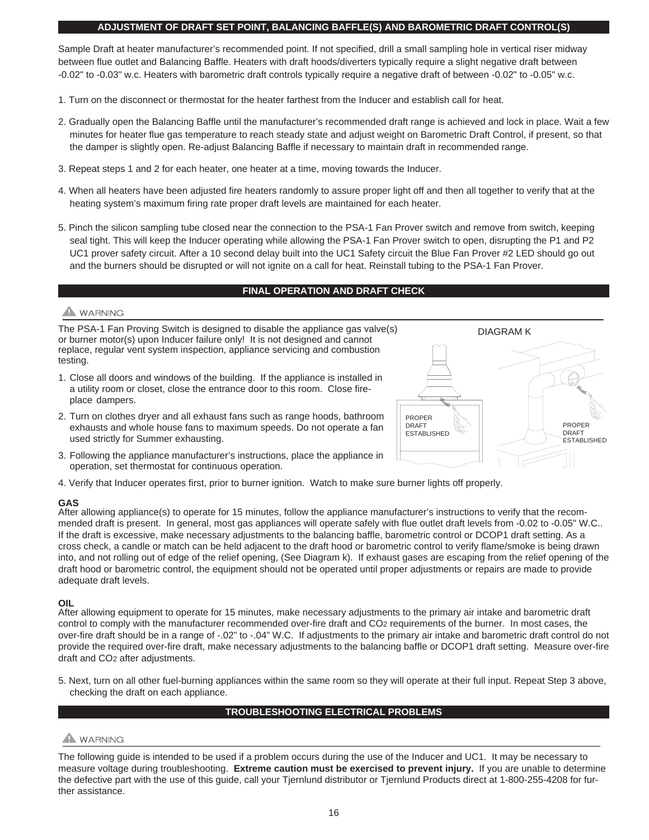## **ADJUSTMENT OF DRAFT SET POINT, BALANCING BAFFLE(S) AND BAROMETRIC DRAFT CONTROL(S)**

Sample Draft at heater manufacturer's recommended point. If not specified, drill a small sampling hole in vertical riser midway between flue outlet and Balancing Baffle. Heaters with draft hoods/diverters typically require a slight negative draft between -0.02" to -0.03" w.c. Heaters with barometric draft controls typically require a negative draft of between -0.02" to -0.05" w.c.

- 1. Turn on the disconnect or thermostat for the heater farthest from the Inducer and establish call for heat.
- 2. Gradually open the Balancing Baffle until the manufacturer's recommended draft range is achieved and lock in place. Wait a few minutes for heater flue gas temperature to reach steady state and adjust weight on Barometric Draft Control, if present, so that the damper is slightly open. Re-adjust Balancing Baffle if necessary to maintain draft in recommended range.
- 3. Repeat steps 1 and 2 for each heater, one heater at a time, moving towards the Inducer.
- 4. When all heaters have been adjusted fire heaters randomly to assure proper light off and then all together to verify that at the heating system's maximum firing rate proper draft levels are maintained for each heater.
- 5. Pinch the silicon sampling tube closed near the connection to the PSA-1 Fan Prover switch and remove from switch, keeping seal tight. This will keep the Inducer operating while allowing the PSA-1 Fan Prover switch to open, disrupting the P1 and P2 UC1 prover safety circuit. After a 10 second delay built into the UC1 Safety circuit the Blue Fan Prover #2 LED should go out and the burners should be disrupted or will not ignite on a call for heat. Reinstall tubing to the PSA-1 Fan Prover.

## **FINAL OPERATION AND DRAFT CHECK**

# **NARNING**

The PSA-1 Fan Proving Switch is designed to disable the appliance gas valve(s) or burner motor(s) upon Inducer failure only! It is not designed and cannot replace, regular vent system inspection, appliance servicing and combustion testing.

- 1. Close all doors and windows of the building. If the appliance is installed in a utility room or closet, close the entrance door to this room. Close fireplace dampers.
- 2. Turn on clothes dryer and all exhaust fans such as range hoods, bathroom exhausts and whole house fans to maximum speeds. Do not operate a fan used strictly for Summer exhausting.
- 3. Following the appliance manufacturer's instructions, place the appliance in operation, set thermostat for continuous operation.
- 4. Verify that Inducer operates first, prior to burner ignition. Watch to make sure burner lights off properly.

# **GAS**

After allowing appliance(s) to operate for 15 minutes, follow the appliance manufacturer's instructions to verify that the recommended draft is present. In general, most gas appliances will operate safely with flue outlet draft levels from -0.02 to -0.05" W.C.. If the draft is excessive, make necessary adjustments to the balancing baffle, barometric control or DCOP1 draft setting. As a cross check, a candle or match can be held adjacent to the draft hood or barometric control to verify flame/smoke is being drawn into, and not rolling out of edge of the relief opening, (See Diagram k). If exhaust gases are escaping from the relief opening of the draft hood or barometric control, the equipment should not be operated until proper adjustments or repairs are made to provide adequate draft levels.

# **OIL**

After allowing equipment to operate for 15 minutes, make necessary adjustments to the primary air intake and barometric draft control to comply with the manufacturer recommended over-fire draft and CO2 requirements of the burner. In most cases, the over-fire draft should be in a range of -.02" to -.04" W.C. If adjustments to the primary air intake and barometric draft control do not provide the required over-fire draft, make necessary adjustments to the balancing baffle or DCOP1 draft setting. Measure over-fire draft and CO2 after adjustments.

5. Next, turn on all other fuel-burning appliances within the same room so they will operate at their full input. Repeat Step 3 above, checking the draft on each appliance.

# **TROUBLESHOOTING ELECTRICAL PROBLEMS**

# **WARNING**

The following guide is intended to be used if a problem occurs during the use of the Inducer and UC1. It may be necessary to measure voltage during troubleshooting. **Extreme caution must be exercised to prevent injury.** If you are unable to determine the defective part with the use of this guide, call your Tjernlund distributor or Tjernlund Products direct at 1-800-255-4208 for further assistance.

![](_page_16_Figure_22.jpeg)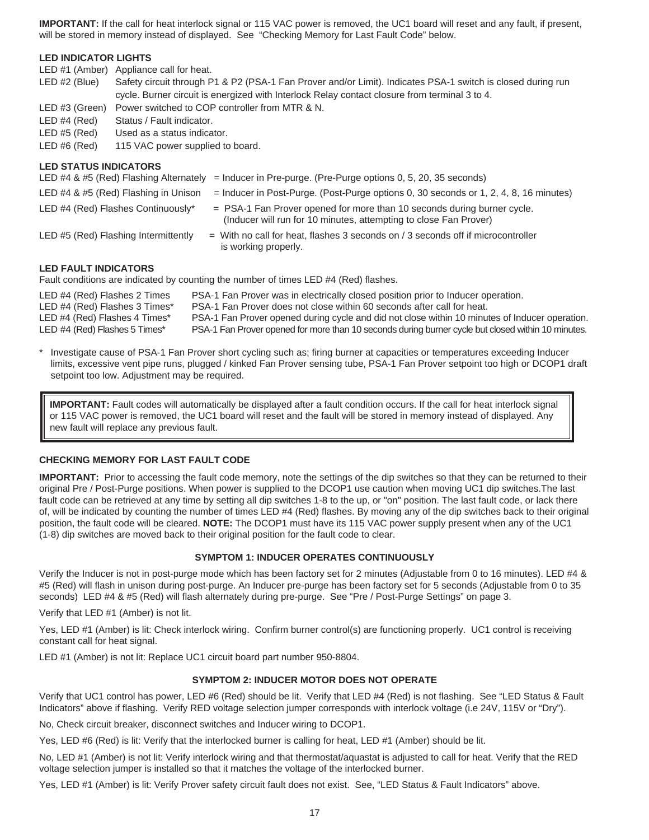**IMPORTANT:** If the call for heat interlock signal or 115 VAC power is removed, the UC1 board will reset and any fault, if present, will be stored in memory instead of displayed. See "Checking Memory for Last Fault Code" below.

## **LED INDICATOR LIGHTS**

LED #1 (Amber) Appliance call for heat.

- LED #2 (Blue) Safety circuit through P1 & P2 (PSA-1 Fan Prover and/or Limit). Indicates PSA-1 switch is closed during run cycle. Burner circuit is energized with Interlock Relay contact closure from terminal 3 to 4.
- LED #3 (Green) Power switched to COP controller from MTR & N.
- LED #4 (Red) Status / Fault indicator.
- LED #5 (Red) Used as a status indicator.
- LED #6 (Red) 115 VAC power supplied to board.

## **LED STATUS INDICATORS**

|                                      | LED #4 & #5 (Red) Flashing Alternately = Inducer in Pre-purge. (Pre-Purge options 0, 5, 20, 35 seconds)                                        |
|--------------------------------------|------------------------------------------------------------------------------------------------------------------------------------------------|
| LED #4 & #5 (Red) Flashing in Unison | $=$ Inducer in Post-Purge. (Post-Purge options 0, 30 seconds or 1, 2, 4, 8, 16 minutes)                                                        |
| LED #4 (Red) Flashes Continuously*   | $=$ PSA-1 Fan Prover opened for more than 10 seconds during burner cycle.<br>(Inducer will run for 10 minutes, attempting to close Fan Prover) |
| LED #5 (Red) Flashing Intermittently | $=$ With no call for heat, flashes 3 seconds on / 3 seconds off if microcontroller<br>is working properly.                                     |

## **LED FAULT INDICATORS**

Fault conditions are indicated by counting the number of times LED #4 (Red) flashes.

| LED #4 (Red) Flashes 2 Times  | PSA-1 Fan Prover was in electrically closed position prior to Inducer operation.                   |
|-------------------------------|----------------------------------------------------------------------------------------------------|
| LED #4 (Red) Flashes 3 Times* | PSA-1 Fan Prover does not close within 60 seconds after call for heat.                             |
| LED #4 (Red) Flashes 4 Times* | PSA-1 Fan Prover opened during cycle and did not close within 10 minutes of Inducer operation.     |
| LED #4 (Red) Flashes 5 Times* | PSA-1 Fan Prover opened for more than 10 seconds during burner cycle but closed within 10 minutes. |

Investigate cause of PSA-1 Fan Prover short cycling such as; firing burner at capacities or temperatures exceeding Inducer limits, excessive vent pipe runs, plugged / kinked Fan Prover sensing tube, PSA-1 Fan Prover setpoint too high or DCOP1 draft setpoint too low. Adjustment may be required.

**IMPORTANT:** Fault codes will automatically be displayed after a fault condition occurs. If the call for heat interlock signal or 115 VAC power is removed, the UC1 board will reset and the fault will be stored in memory instead of displayed. Any new fault will replace any previous fault.

# **CHECKING MEMORY FOR LAST FAULT CODE**

**IMPORTANT:** Prior to accessing the fault code memory, note the settings of the dip switches so that they can be returned to their original Pre / Post-Purge positions. When power is supplied to the DCOP1 use caution when moving UC1 dip switches.The last fault code can be retrieved at any time by setting all dip switches 1-8 to the up, or "on" position. The last fault code, or lack there of, will be indicated by counting the number of times LED #4 (Red) flashes. By moving any of the dip switches back to their original position, the fault code will be cleared. **NOTE:** The DCOP1 must have its 115 VAC power supply present when any of the UC1 (1-8) dip switches are moved back to their original position for the fault code to clear.

# **SYMPTOM 1: INDUCER OPERATES CONTINUOUSLY**

Verify the Inducer is not in post-purge mode which has been factory set for 2 minutes (Adjustable from 0 to 16 minutes). LED #4 & #5 (Red) will flash in unison during post-purge. An Inducer pre-purge has been factory set for 5 seconds (Adjustable from 0 to 35 seconds) LED #4 & #5 (Red) will flash alternately during pre-purge. See "Pre / Post-Purge Settings" on page 3.

Verify that LED #1 (Amber) is not lit.

Yes, LED #1 (Amber) is lit: Check interlock wiring. Confirm burner control(s) are functioning properly. UC1 control is receiving constant call for heat signal.

LED #1 (Amber) is not lit: Replace UC1 circuit board part number 950-8804.

# **SYMPTOM 2: INDUCER MOTOR DOES NOT OPERATE**

Verify that UC1 control has power, LED #6 (Red) should be lit. Verify that LED #4 (Red) is not flashing. See "LED Status & Fault Indicators" above if flashing. Verify RED voltage selection jumper corresponds with interlock voltage (i.e 24V, 115V or "Dry").

No, Check circuit breaker, disconnect switches and Inducer wiring to DCOP1.

Yes, LED #6 (Red) is lit: Verify that the interlocked burner is calling for heat, LED #1 (Amber) should be lit.

No, LED #1 (Amber) is not lit: Verify interlock wiring and that thermostat/aquastat is adjusted to call for heat. Verify that the RED voltage selection jumper is installed so that it matches the voltage of the interlocked burner.

Yes, LED #1 (Amber) is lit: Verify Prover safety circuit fault does not exist. See, "LED Status & Fault Indicators" above.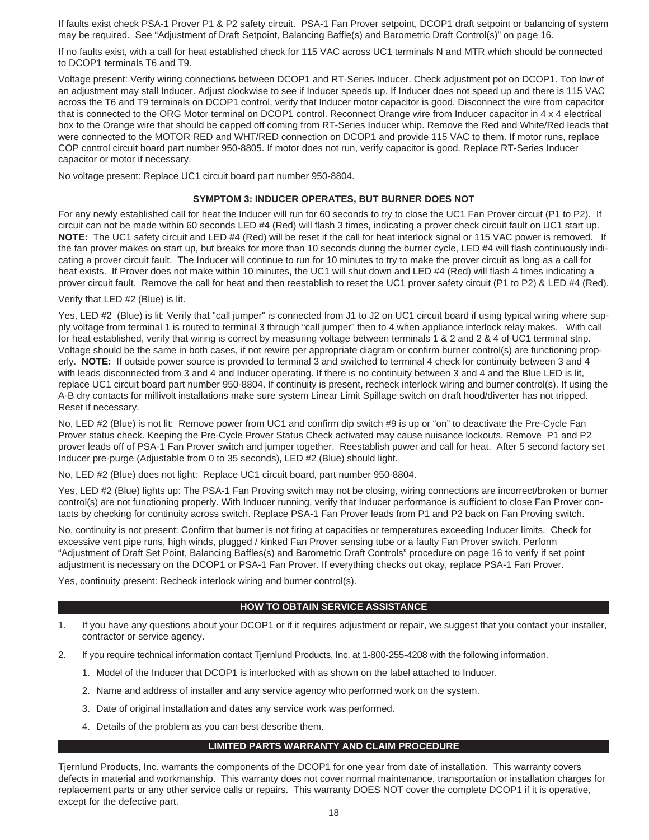If faults exist check PSA-1 Prover P1 & P2 safety circuit. PSA-1 Fan Prover setpoint, DCOP1 draft setpoint or balancing of system may be required. See "Adjustment of Draft Setpoint, Balancing Baffle(s) and Barometric Draft Control(s)" on page 16.

If no faults exist, with a call for heat established check for 115 VAC across UC1 terminals N and MTR which should be connected to DCOP1 terminals T6 and T9.

Voltage present: Verify wiring connections between DCOP1 and RT-Series Inducer. Check adjustment pot on DCOP1. Too low of an adjustment may stall Inducer. Adjust clockwise to see if Inducer speeds up. If Inducer does not speed up and there is 115 VAC across the T6 and T9 terminals on DCOP1 control, verify that Inducer motor capacitor is good. Disconnect the wire from capacitor that is connected to the ORG Motor terminal on DCOP1 control. Reconnect Orange wire from Inducer capacitor in 4 x 4 electrical box to the Orange wire that should be capped off coming from RT-Series Inducer whip. Remove the Red and White/Red leads that were connected to the MOTOR RED and WHT/RED connection on DCOP1 and provide 115 VAC to them. If motor runs, replace COP control circuit board part number 950-8805. If motor does not run, verify capacitor is good. Replace RT-Series Inducer capacitor or motor if necessary.

No voltage present: Replace UC1 circuit board part number 950-8804.

#### **SYMPTOM 3: INDUCER OPERATES, BUT BURNER DOES NOT**

For any newly established call for heat the Inducer will run for 60 seconds to try to close the UC1 Fan Prover circuit (P1 to P2). If circuit can not be made within 60 seconds LED #4 (Red) will flash 3 times, indicating a prover check circuit fault on UC1 start up. **NOTE:** The UC1 safety circuit and LED #4 (Red) will be reset if the call for heat interlock signal or 115 VAC power is removed. If the fan prover makes on start up, but breaks for more than 10 seconds during the burner cycle, LED #4 will flash continuously indicating a prover circuit fault. The Inducer will continue to run for 10 minutes to try to make the prover circuit as long as a call for heat exists. If Prover does not make within 10 minutes, the UC1 will shut down and LED #4 (Red) will flash 4 times indicating a prover circuit fault. Remove the call for heat and then reestablish to reset the UC1 prover safety circuit (P1 to P2) & LED #4 (Red).

Verify that LED #2 (Blue) is lit.

Yes, LED #2 (Blue) is lit: Verify that "call jumper" is connected from J1 to J2 on UC1 circuit board if using typical wiring where supply voltage from terminal 1 is routed to terminal 3 through "call jumper" then to 4 when appliance interlock relay makes. With call for heat established, verify that wiring is correct by measuring voltage between terminals 1 & 2 and 2 & 4 of UC1 terminal strip. Voltage should be the same in both cases, if not rewire per appropriate diagram or confirm burner control(s) are functioning properly. **NOTE:** If outside power source is provided to terminal 3 and switched to terminal 4 check for continuity between 3 and 4 with leads disconnected from 3 and 4 and Inducer operating. If there is no continuity between 3 and 4 and the Blue LED is lit, replace UC1 circuit board part number 950-8804. If continuity is present, recheck interlock wiring and burner control(s). If using the A-B dry contacts for millivolt installations make sure system Linear Limit Spillage switch on draft hood/diverter has not tripped. Reset if necessary.

No, LED #2 (Blue) is not lit: Remove power from UC1 and confirm dip switch #9 is up or "on" to deactivate the Pre-Cycle Fan Prover status check. Keeping the Pre-Cycle Prover Status Check activated may cause nuisance lockouts. Remove P1 and P2 prover leads off of PSA-1 Fan Prover switch and jumper together. Reestablish power and call for heat. After 5 second factory set Inducer pre-purge (Adjustable from 0 to 35 seconds), LED #2 (Blue) should light.

No, LED #2 (Blue) does not light: Replace UC1 circuit board, part number 950-8804.

Yes, LED #2 (Blue) lights up: The PSA-1 Fan Proving switch may not be closing, wiring connections are incorrect/broken or burner control(s) are not functioning properly. With Inducer running, verify that Inducer performance is sufficient to close Fan Prover contacts by checking for continuity across switch. Replace PSA-1 Fan Prover leads from P1 and P2 back on Fan Proving switch.

No, continuity is not present: Confirm that burner is not firing at capacities or temperatures exceeding Inducer limits. Check for excessive vent pipe runs, high winds, plugged / kinked Fan Prover sensing tube or a faulty Fan Prover switch. Perform "Adjustment of Draft Set Point, Balancing Baffles(s) and Barometric Draft Controls" procedure on page 16 to verify if set point adjustment is necessary on the DCOP1 or PSA-1 Fan Prover. If everything checks out okay, replace PSA-1 Fan Prover.

Yes, continuity present: Recheck interlock wiring and burner control(s).

# **HOW TO OBTAIN SERVICE ASSISTANCE**

- 1. If you have any questions about your DCOP1 or if it requires adjustment or repair, we suggest that you contact your installer, contractor or service agency.
- 2. If you require technical information contact Tjernlund Products, Inc. at 1-800-255-4208 with the following information.
	- 1. Model of the Inducer that DCOP1 is interlocked with as shown on the label attached to Inducer.
	- 2. Name and address of installer and any service agency who performed work on the system.
	- 3. Date of original installation and dates any service work was performed.
	- 4. Details of the problem as you can best describe them.

# **LIMITED PARTS WARRANTY AND CLAIM PROCEDURE**

Tjernlund Products, Inc. warrants the components of the DCOP1 for one year from date of installation. This warranty covers defects in material and workmanship. This warranty does not cover normal maintenance, transportation or installation charges for replacement parts or any other service calls or repairs. This warranty DOES NOT cover the complete DCOP1 if it is operative, except for the defective part.